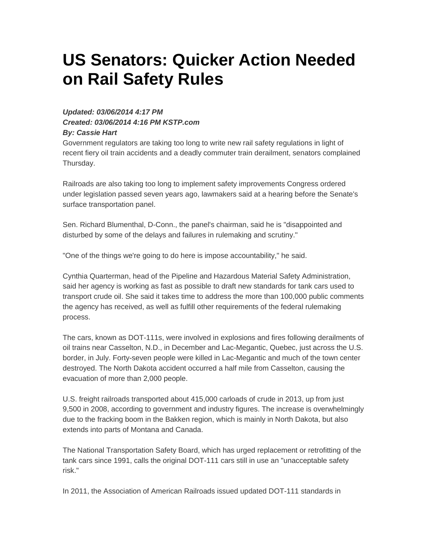## **US Senators: Quicker Action Needed on Rail Safety Rules**

## **Updated: 03/06/2014 4:17 PM Created: 03/06/2014 4:16 PM KSTP.com By: Cassie Hart**

Government regulators are taking too long to write new rail safety regulations in light of recent fiery oil train accidents and a deadly commuter train derailment, senators complained Thursday.

Railroads are also taking too long to implement safety improvements Congress ordered under legislation passed seven years ago, lawmakers said at a hearing before the Senate's surface transportation panel.

Sen. Richard Blumenthal, D-Conn., the panel's chairman, said he is "disappointed and disturbed by some of the delays and failures in rulemaking and scrutiny."

"One of the things we're going to do here is impose accountability," he said.

Cynthia Quarterman, head of the Pipeline and Hazardous Material Safety Administration, said her agency is working as fast as possible to draft new standards for tank cars used to transport crude oil. She said it takes time to address the more than 100,000 public comments the agency has received, as well as fulfill other requirements of the federal rulemaking process.

The cars, known as DOT-111s, were involved in explosions and fires following derailments of oil trains near Casselton, N.D., in December and Lac-Megantic, Quebec, just across the U.S. border, in July. Forty-seven people were killed in Lac-Megantic and much of the town center destroyed. The North Dakota accident occurred a half mile from Casselton, causing the evacuation of more than 2,000 people.

U.S. freight railroads transported about 415,000 carloads of crude in 2013, up from just 9,500 in 2008, according to government and industry figures. The increase is overwhelmingly due to the fracking boom in the Bakken region, which is mainly in North Dakota, but also extends into parts of Montana and Canada.

The National Transportation Safety Board, which has urged replacement or retrofitting of the tank cars since 1991, calls the original DOT-111 cars still in use an "unacceptable safety risk."

In 2011, the Association of American Railroads issued updated DOT-111 standards in